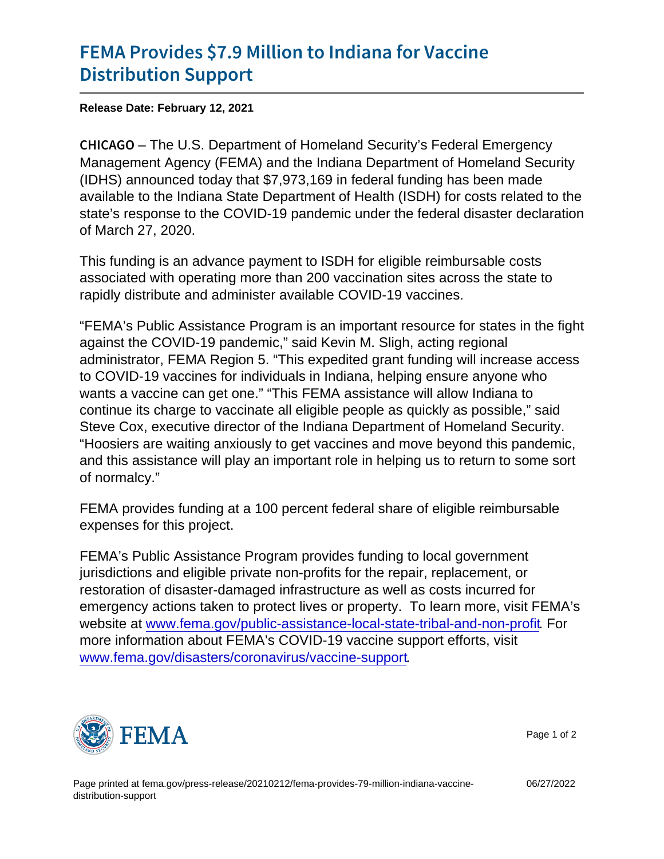## [FEMA Provides \\$7.9 Million to](https://www.fema.gov/press-release/20210212/fema-provides-79-million-indiana-vaccine-distribution-support) Indiana for [Distribution](https://www.fema.gov/press-release/20210212/fema-provides-79-million-indiana-vaccine-distribution-support) Support

Release Date: February 12, 2021

C H I C A GIO U.S. Department of Homeland Security's Federal Emergency Management Agency (FEMA) and the Indiana Department of Homeland Security (IDHS) announced today that \$7,973,169 in federal funding has been made available to the Indiana State Department of Health (ISDH) for costs related to the state's response to the COVID-19 pandemic under the federal disaster declaration of March 27, 2020.

This funding is an advance payment to ISDH for eligible reimbursable costs associated with operating more than 200 vaccination sites across the state to rapidly distribute and administer available COVID-19 vaccines.

"FEMA's Public Assistance Program is an important resource for states in the fight against the COVID-19 pandemic," said Kevin M. Sligh, acting regional administrator, FEMA Region 5. "This expedited grant funding will increase access to COVID-19 vaccines for individuals in Indiana, helping ensure anyone who wants a vaccine can get one." "This FEMA assistance will allow Indiana to continue its charge to vaccinate all eligible people as quickly as possible," said Steve Cox, executive director of the Indiana Department of Homeland Security. "Hoosiers are waiting anxiously to get vaccines and move beyond this pandemic, and this assistance will play an important role in helping us to return to some sort of normalcy."

FEMA provides funding at a 100 percent federal share of eligible reimbursable expenses for this project.

FEMA's Public Assistance Program provides funding to local government jurisdictions and eligible private non-profits for the repair, replacement, or restoration of disaster-damaged infrastructure as well as costs incurred for emergency actions taken to protect lives or property. To learn more, visit FEMA's website at [www.fema.gov/public-assistance-local-state-tribal-and-non-profit](https://u7061146.ct.sendgrid.net/ls/click?upn=TeZUXWpUv-2B6TCY38pVLo9tN3mxTvfG8hFNSgIOiEYnP7XS2bPsmxXK7FBbLjJnwq8nMSEkAOQYN8DOPzCVUo-2ByV-2FVwSbZHJZu5c3TUNxU9s-3DxHBO_ikyrQM0swfJ33H1z8KNu3D7ObPd523An7e-2B4CWGkPn8GS3bpk786cCdFFmP-2B2QL8YDCzLeEJdaS4yrzVZP7ohPv0GYEkbMegnXZO3VX4dTWIpWiGY4fNeseYqk0LThdmyBrZrTcebPVLXGRI5-2BYwzROBAuAYQiX45cKsyQFpMeuN-2BuHVRerKJewWAvYRHhOfaLGuRNXyk92P-2BqVNUw-2Fno0yahogIk2XnZMe78AUV8O8VSKOm2D0ah17dNQ513pt6fqZVdHruZ4n-2FWXhDiSPiovKl1BYZMRUN71a5jaMUthowX0C4PItH7gLBpuU4eoJEl2pVH0qfSC1aCfd-2B1wH4xwGXZE-2F6o2UMHVZ7MHpHtVI-3D). For more information about FEMA's COVID-19 vaccine support efforts, visit [www.fema.gov/disasters/coronavirus/vaccine-support.](https://u7061146.ct.sendgrid.net/ls/click?upn=TeZUXWpUv-2B6TCY38pVLo9k8Gq7vfEI3HOfx-2Bt6se5PZin6JQ6KK7UZyS913aEr2Et7rUn10HHmC-2BaNfpZPh5WAxbm56QDHeYOfZC0ZaogMw-3DesfA_ikyrQM0swfJ33H1z8KNu3D7ObPd523An7e-2B4CWGkPn8GS3bpk786cCdFFmP-2B2QL8YDCzLeEJdaS4yrzVZP7ohPv0GYEkbMegnXZO3VX4dTWIpWiGY4fNeseYqk0LThdmyBrZrTcebPVLXGRI5-2BYwzROBAuAYQiX45cKsyQFpMeuN-2BuHVRerKJewWAvYRHhOfaLGuRNXyk92P-2BqVNUw-2FnoyBNj1FEHCtZvDq1tARID8sTb0Bra2NNmhCGLNgsJP6cwNgWTSLMvlQDVxuKa0QN-2FDg3BtNqG-2Fu-2BIlddknzLUlg4y0536YZPppehhwluPLen2kWUdWp6oYhpUl74K8XycBjSc1PFvGx43FA3BykbIl4-3D)



Page 1 of 2